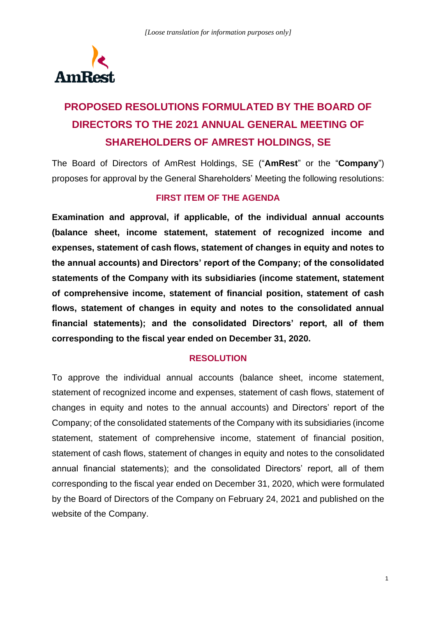

# **PROPOSED RESOLUTIONS FORMULATED BY THE BOARD OF DIRECTORS TO THE 2021 ANNUAL GENERAL MEETING OF SHAREHOLDERS OF AMREST HOLDINGS, SE**

The Board of Directors of AmRest Holdings, SE ("**AmRest**" or the "**Company**") proposes for approval by the General Shareholders' Meeting the following resolutions:

## **FIRST ITEM OF THE AGENDA**

**Examination and approval, if applicable, of the individual annual accounts (balance sheet, income statement, statement of recognized income and expenses, statement of cash flows, statement of changes in equity and notes to the annual accounts) and Directors' report of the Company; of the consolidated statements of the Company with its subsidiaries (income statement, statement of comprehensive income, statement of financial position, statement of cash flows, statement of changes in equity and notes to the consolidated annual financial statements); and the consolidated Directors' report, all of them corresponding to the fiscal year ended on December 31, 2020.**

#### **RESOLUTION**

To approve the individual annual accounts (balance sheet, income statement, statement of recognized income and expenses, statement of cash flows, statement of changes in equity and notes to the annual accounts) and Directors' report of the Company; of the consolidated statements of the Company with its subsidiaries (income statement, statement of comprehensive income, statement of financial position, statement of cash flows, statement of changes in equity and notes to the consolidated annual financial statements); and the consolidated Directors' report, all of them corresponding to the fiscal year ended on December 31, 2020, which were formulated by the Board of Directors of the Company on February 24, 2021 and published on the website of the Company.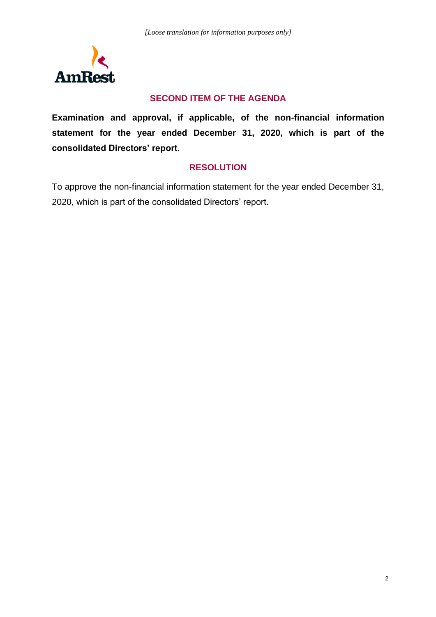

## **SECOND ITEM OF THE AGENDA**

**Examination and approval, if applicable, of the non-financial information statement for the year ended December 31, 2020, which is part of the consolidated Directors' report.**

#### **RESOLUTION**

To approve the non-financial information statement for the year ended December 31, 2020, which is part of the consolidated Directors' report.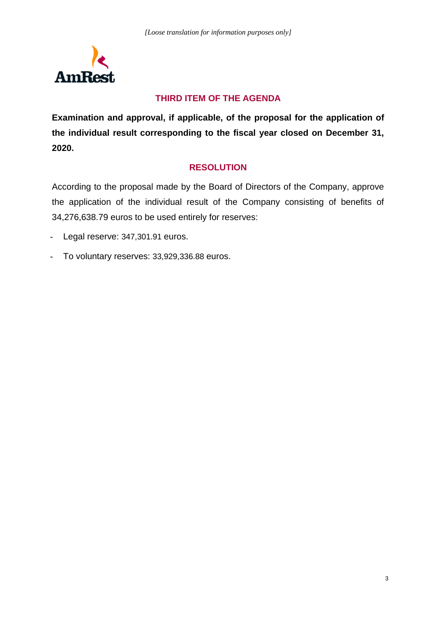

# **THIRD ITEM OF THE AGENDA**

**Examination and approval, if applicable, of the proposal for the application of the individual result corresponding to the fiscal year closed on December 31, 2020.**

# **RESOLUTION**

According to the proposal made by the Board of Directors of the Company, approve the application of the individual result of the Company consisting of benefits of 34,276,638.79 euros to be used entirely for reserves:

- Legal reserve: 347,301.91 euros.
- To voluntary reserves: 33,929,336.88 euros.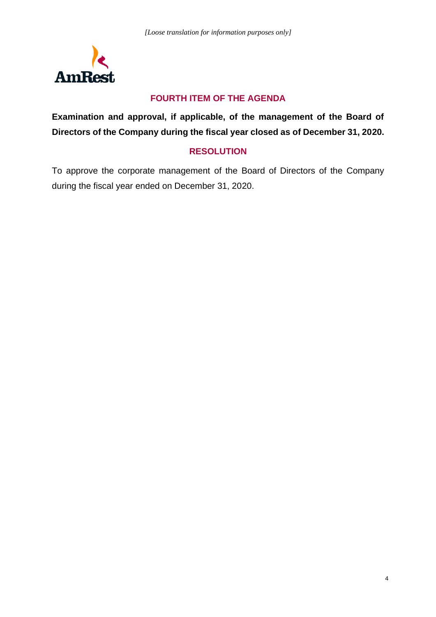

# **FOURTH ITEM OF THE AGENDA**

**Examination and approval, if applicable, of the management of the Board of Directors of the Company during the fiscal year closed as of December 31, 2020.**

## **RESOLUTION**

To approve the corporate management of the Board of Directors of the Company during the fiscal year ended on December 31, 2020.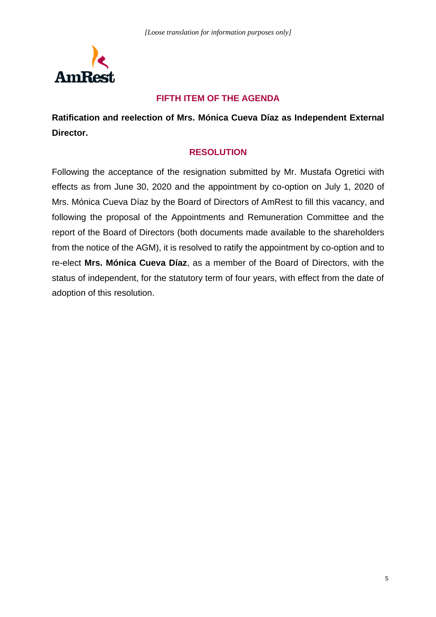

## **FIFTH ITEM OF THE AGENDA**

**Ratification and reelection of Mrs. Mónica Cueva Díaz as Independent External Director.** 

#### **RESOLUTION**

Following the acceptance of the resignation submitted by Mr. Mustafa Ogretici with effects as from June 30, 2020 and the appointment by co-option on July 1, 2020 of Mrs. Mónica Cueva Díaz by the Board of Directors of AmRest to fill this vacancy, and following the proposal of the Appointments and Remuneration Committee and the report of the Board of Directors (both documents made available to the shareholders from the notice of the AGM), it is resolved to ratify the appointment by co-option and to re-elect **Mrs. Mónica Cueva Díaz**, as a member of the Board of Directors, with the status of independent, for the statutory term of four years, with effect from the date of adoption of this resolution.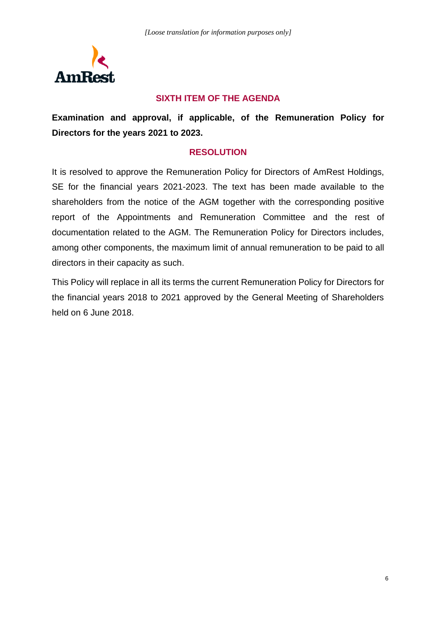

## **SIXTH ITEM OF THE AGENDA**

**Examination and approval, if applicable, of the Remuneration Policy for Directors for the years 2021 to 2023.**

#### **RESOLUTION**

It is resolved to approve the Remuneration Policy for Directors of AmRest Holdings, SE for the financial years 2021-2023. The text has been made available to the shareholders from the notice of the AGM together with the corresponding positive report of the Appointments and Remuneration Committee and the rest of documentation related to the AGM. The Remuneration Policy for Directors includes, among other components, the maximum limit of annual remuneration to be paid to all directors in their capacity as such.

This Policy will replace in all its terms the current Remuneration Policy for Directors for the financial years 2018 to 2021 approved by the General Meeting of Shareholders held on 6 June 2018.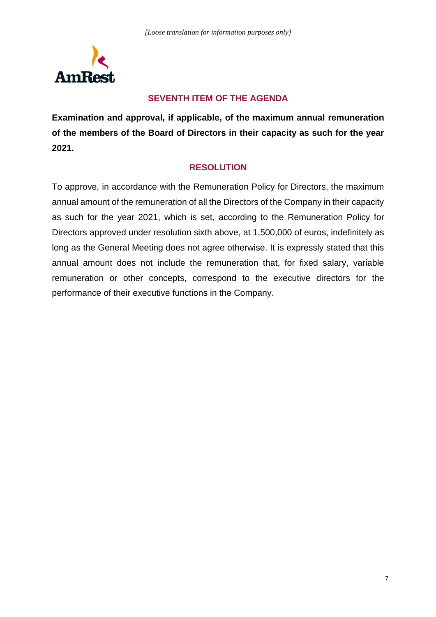

# **SEVENTH ITEM OF THE AGENDA**

**Examination and approval, if applicable, of the maximum annual remuneration of the members of the Board of Directors in their capacity as such for the year 2021.**

# **RESOLUTION**

To approve, in accordance with the Remuneration Policy for Directors, the maximum annual amount of the remuneration of all the Directors of the Company in their capacity as such for the year 2021, which is set, according to the Remuneration Policy for Directors approved under resolution sixth above, at 1,500,000 of euros, indefinitely as long as the General Meeting does not agree otherwise. It is expressly stated that this annual amount does not include the remuneration that, for fixed salary, variable remuneration or other concepts, correspond to the executive directors for the performance of their executive functions in the Company.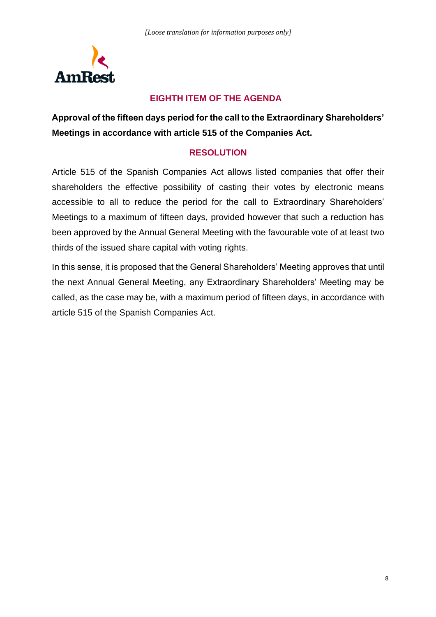

# **EIGHTH ITEM OF THE AGENDA**

**Approval of the fifteen days period for the call to the Extraordinary Shareholders' Meetings in accordance with article 515 of the Companies Act.**

## **RESOLUTION**

Article 515 of the Spanish Companies Act allows listed companies that offer their shareholders the effective possibility of casting their votes by electronic means accessible to all to reduce the period for the call to Extraordinary Shareholders' Meetings to a maximum of fifteen days, provided however that such a reduction has been approved by the Annual General Meeting with the favourable vote of at least two thirds of the issued share capital with voting rights.

In this sense, it is proposed that the General Shareholders' Meeting approves that until the next Annual General Meeting, any Extraordinary Shareholders' Meeting may be called, as the case may be, with a maximum period of fifteen days, in accordance with article 515 of the Spanish Companies Act.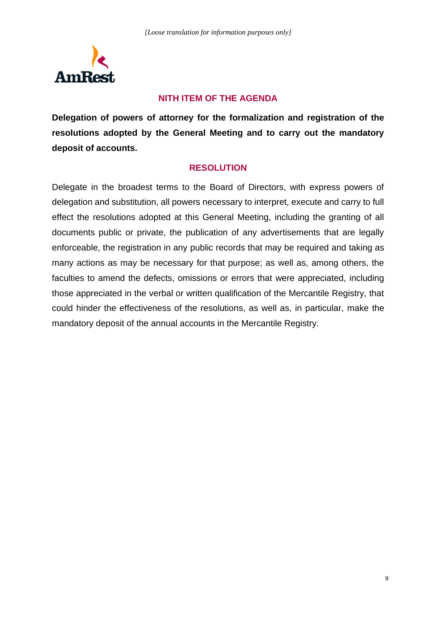

## **NITH ITEM OF THE AGENDA**

**Delegation of powers of attorney for the formalization and registration of the resolutions adopted by the General Meeting and to carry out the mandatory deposit of accounts.**

#### **RESOLUTION**

Delegate in the broadest terms to the Board of Directors, with express powers of delegation and substitution, all powers necessary to interpret, execute and carry to full effect the resolutions adopted at this General Meeting, including the granting of all documents public or private, the publication of any advertisements that are legally enforceable, the registration in any public records that may be required and taking as many actions as may be necessary for that purpose; as well as, among others, the faculties to amend the defects, omissions or errors that were appreciated, including those appreciated in the verbal or written qualification of the Mercantile Registry, that could hinder the effectiveness of the resolutions, as well as, in particular, make the mandatory deposit of the annual accounts in the Mercantile Registry.